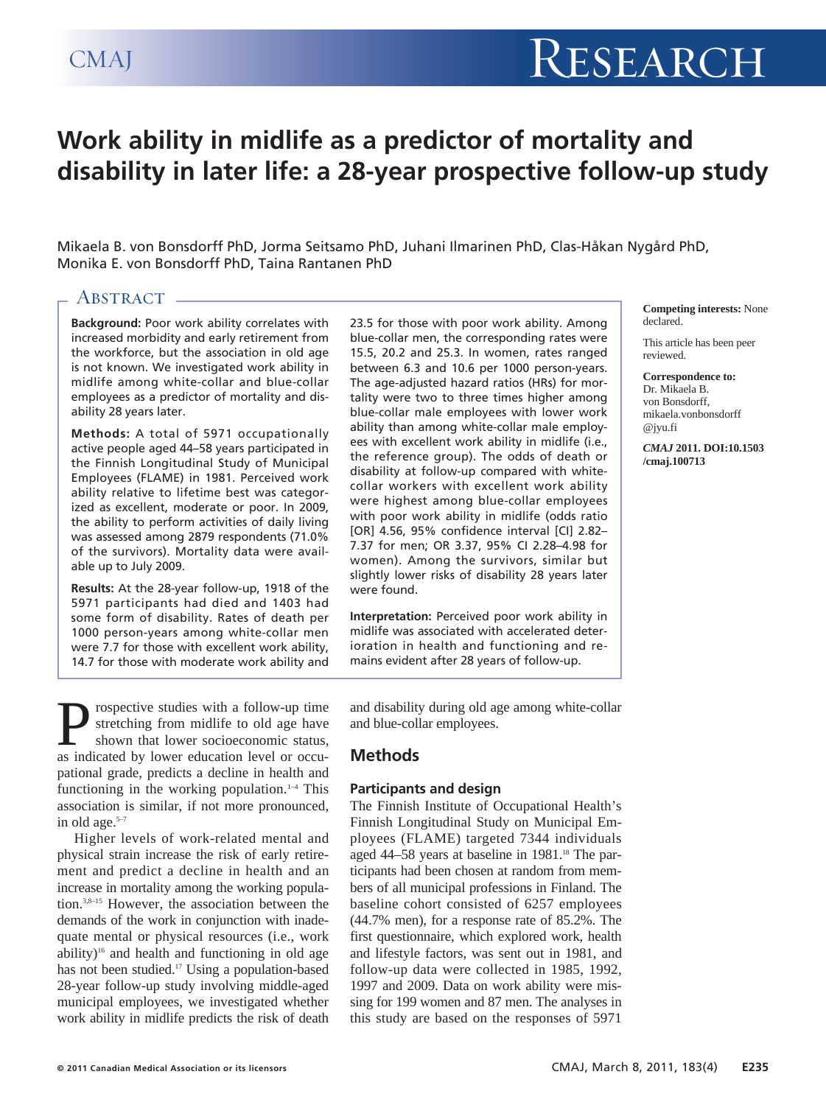# **Work ability in midlife as a predictor of mortality and disability in later life: a 28-year prospective follow-up study**

Mikaela B. von Bonsdorff PhD, Jorma Seitsamo PhD, Juhani Ilmarinen PhD, Clas-Håkan Nygård PhD, Monika E. von Bonsdorff PhD, Taina Rantanen PhD

## **ABSTRACT**

**Background:** Poor work ability correlates with increased morbidity and early retirement from the workforce, but the association in old age is not known. We investigated work ability in midlife among white-collar and blue-collar employees as a predictor of mortality and disability 28 years later.

**Methods:** A total of 5971 occupationally active people aged 44–58 years participated in the Finnish Longitudinal Study of Municipal Employees (FLAME) in 1981. Perceived work ability relative to lifetime best was categorized as excellent, moderate or poor. In 2009, the ability to perform activities of daily living was assessed among 2879 respondents (71.0% of the survivors). Mortality data were available up to July 2009.

**Results:** At the 28-year follow-up, 1918 of the 5971 participants had died and 1403 had some form of disability. Rates of death per 1000 person-years among white-collar men were 7.7 for those with excellent work ability, 14.7 for those with moderate work ability and 23.5 for those with poor work ability. Among blue-collar men, the corresponding rates were 15.5, 20.2 and 25.3. In women, rates ranged between 6.3 and 10.6 per 1000 person-years. The age-adjusted hazard ratios (HRs) for mortality were two to three times higher among blue-collar male employees with lower work ability than among white-collar male employees with excellent work ability in midlife (i.e., the reference group). The odds of death or disability at follow-up compared with whitecollar workers with excellent work ability were highest among blue-collar employees with poor work ability in midlife (odds ratio [OR] 4.56, 95% confidence interval [CI] 2.82– 7.37 for men; OR 3.37, 95% CI 2.28–4.98 for women). Among the survivors, similar but slightly lower risks of disability 28 years later were found.

**Interpretation:** Perceived poor work ability in midlife was associated with accelerated deterioration in health and functioning and remains evident after 28 years of follow-up.

**Competing interests:** None declared.

This article has been peer reviewed.

**Correspondence to:** Dr. Mikaela B. von Bonsdorff, mikaela.vonbonsdorff @jyu .fi

*CMAJ* **2011. DOI:10.1503 /cmaj.100713**

rospective studies with a follow-up time stretching from midlife to old age have shown that lower socioeconomic status, as indicated by lower education level or occupational grade, predicts a decline in health and functioning in the working population. $1-4$  This association is similar, if not more pronounced, in old age.<sup>5-7</sup>

Higher levels of work-related mental and physical strain increase the risk of early retirement and predict a decline in health and an increase in mortality among the working population.3,8–15 However, the association between the demands of the work in conjunction with inadequate mental or physical resources (i.e., work ability)<sup>16</sup> and health and functioning in old age has not been studied.<sup>17</sup> Using a population-based 28-year follow-up study involving middle-aged municipal employees, we investigated whether work ability in midlife predicts the risk of death and disability during old age among white-collar and blue-collar employees.

# **Methods**

## **Participants and design**

The Finnish Institute of Occupational Health's Finnish Longitudinal Study on Municipal Employees (FLAME) targeted 7344 individuals aged 44–58 years at baseline in 1981.<sup>18</sup> The participants had been chosen at random from members of all municipal professions in Finland. The baseline cohort consisted of 6257 employees (44.7% men), for a response rate of 85.2%. The first questionnaire, which explored work, health and lifestyle factors, was sent out in 1981, and follow-up data were collected in 1985, 1992, 1997 and 2009. Data on work ability were missing for 199 women and 87 men. The analyses in this study are based on the responses of 5971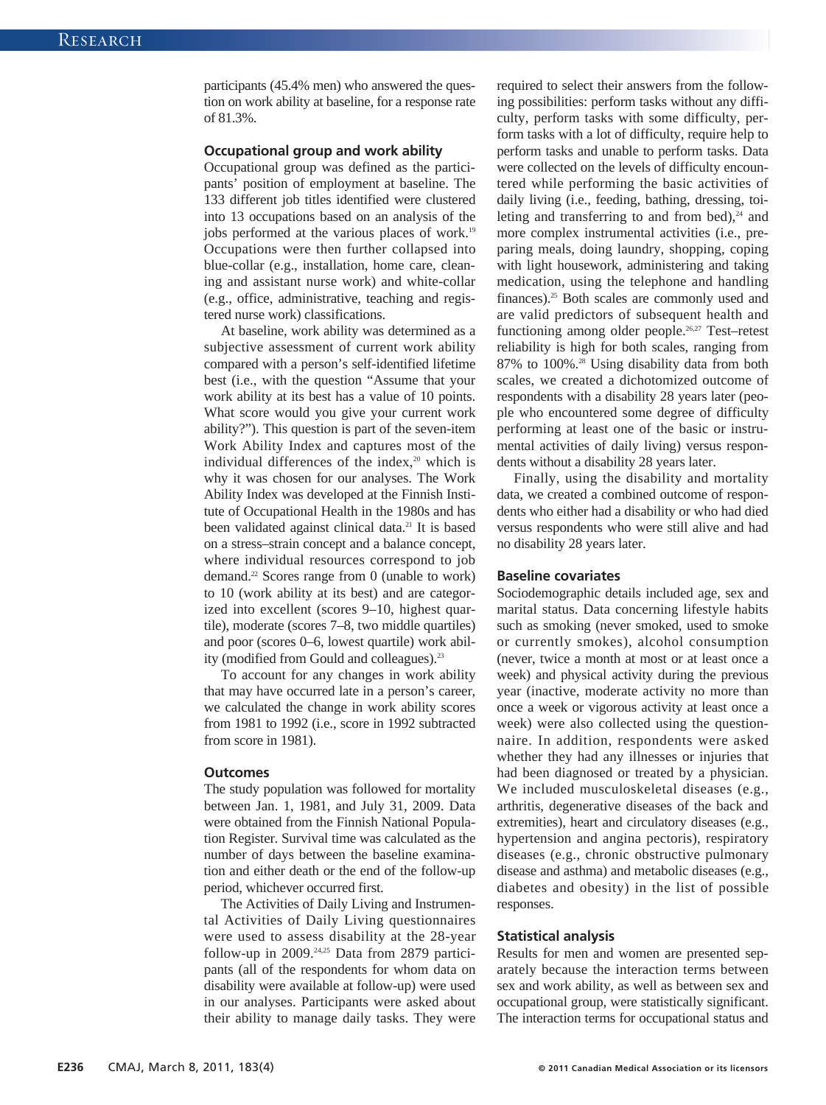participants (45.4% men) who answered the question on work ability at baseline, for a response rate of 81.3%.

### **Occupational group and work ability**

Occupational group was defined as the participants' position of employment at baseline. The 133 different job titles identified were clustered into 13 occupations based on an analysis of the jobs performed at the various places of work.<sup>19</sup> Occupations were then further collapsed into blue-collar (e.g., installation, home care, cleaning and assistant nurse work) and white-collar (e.g., office, administrative, teaching and registered nurse work) classifications.

At baseline, work ability was determined as a subjective assessment of current work ability compared with a person's self-identified lifetime best (i.e., with the question "Assume that your work ability at its best has a value of 10 points. What score would you give your current work ability?"). This question is part of the seven-item Work Ability Index and captures most of the individual differences of the index, $20$  which is why it was chosen for our analyses. The Work Ability Index was developed at the Finnish Institute of Occupational Health in the 1980s and has been validated against clinical data.<sup>21</sup> It is based on a stress–strain concept and a balance concept, where individual resources correspond to job demand.22 Scores range from 0 (unable to work) to 10 (work ability at its best) and are categorized into excellent (scores 9–10, highest quartile), moderate (scores 7–8, two middle quartiles) and poor (scores 0–6, lowest quartile) work ability (modified from Gould and colleagues).<sup>23</sup>

To account for any changes in work ability that may have occurred late in a person's career, we calculated the change in work ability scores from 1981 to 1992 (i.e., score in 1992 subtracted from score in 1981).

#### **Outcomes**

The study population was followed for mortality between Jan. 1, 1981, and July 31, 2009. Data were obtained from the Finnish National Population Register. Survival time was calculated as the number of days between the baseline examination and either death or the end of the follow-up period, whichever occurred first.

The Activities of Daily Living and Instrumental Activities of Daily Living questionnaires were used to assess disability at the 28-year follow-up in  $2009$ .<sup>24,25</sup> Data from 2879 participants (all of the respondents for whom data on disability were available at follow-up) were used in our analyses. Participants were asked about their ability to manage daily tasks. They were required to select their answers from the following possibilities: perform tasks without any difficulty, perform tasks with some difficulty, perform tasks with a lot of difficulty, require help to perform tasks and unable to perform tasks. Data were collected on the levels of difficulty encountered while performing the basic activities of daily living (i.e., feeding, bathing, dressing, toileting and transferring to and from bed), $24$  and more complex instrumental activities (i.e., preparing meals, doing laundry, shopping, coping with light housework, administering and taking medication, using the telephone and handling finances).25 Both scales are commonly used and are valid predictors of subsequent health and functioning among older people.<sup>26,27</sup> Test–retest reliability is high for both scales, ranging from 87% to 100%.28 Using disability data from both scales, we created a dichotomized outcome of respondents with a disability 28 years later (people who encountered some degree of difficulty performing at least one of the basic or instrumental activities of daily living) versus respondents without a disability 28 years later.

Finally, using the disability and mortality data, we created a combined outcome of respondents who either had a disability or who had died versus respondents who were still alive and had no disability 28 years later.

#### **Baseline covariates**

Sociodemographic details included age, sex and marital status. Data concerning lifestyle habits such as smoking (never smoked, used to smoke or currently smokes), alcohol consumption (never, twice a month at most or at least once a week) and physical activity during the previous year (inactive, moderate activity no more than once a week or vigorous activity at least once a week) were also collected using the questionnaire. In addition, respondents were asked whether they had any illnesses or injuries that had been diagnosed or treated by a physician. We included musculoskeletal diseases (e.g., arthritis, degenerative diseases of the back and extremities), heart and circulatory diseases (e.g., hypertension and angina pectoris), respiratory diseases (e.g., chronic obstructive pulmonary disease and asthma) and metabolic diseases (e.g., diabetes and obesity) in the list of possible responses.

## **Statistical analysis**

Results for men and women are presented separately because the interaction terms between sex and work ability, as well as between sex and occupational group, were statistically significant. The interaction terms for occupational status and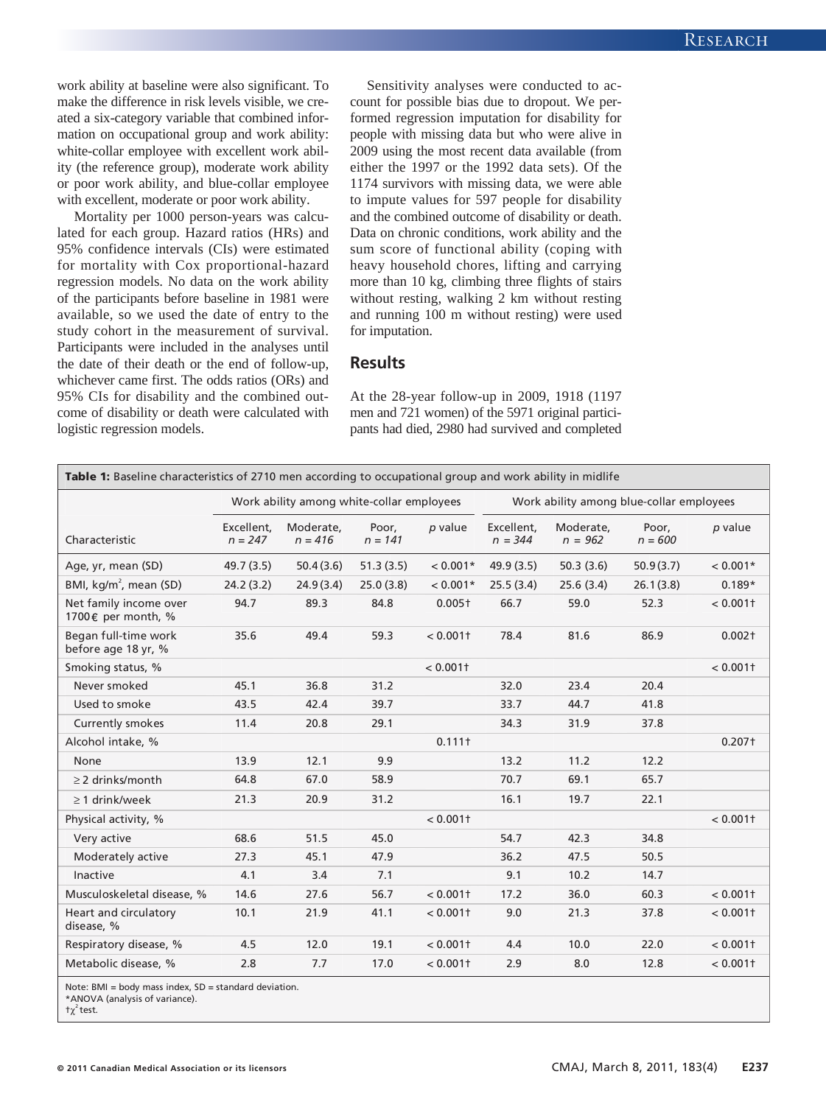work ability at baseline were also significant. To make the difference in risk levels visible, we created a six-category variable that combined information on occupational group and work ability: white-collar employee with excellent work ability (the reference group), moderate work ability or poor work ability, and blue-collar employee with excellent, moderate or poor work ability.

Mortality per 1000 person-years was calculated for each group. Hazard ratios (HRs) and 95% confidence intervals (CIs) were estimated for mortality with Cox proportional -hazard regression models. No data on the work ability of the participants before baseline in 1981 were available, so we used the date of entry to the study cohort in the measurement of survival. Participants were included in the analyses until the date of their death or the end of follow-up, whichever came first. The odds ratios (ORs) and 95% CIs for disability and the combined outcome of disability or death were calculated with logistic regression models.

Sensitivity analyses were conducted to account for possible bias due to dropout. We performed regression imputation for disability for people with missing data but who were alive in 2009 using the most recent data available (from either the 1997 or the 1992 data sets). Of the 1174 survivors with missing data, we were able to impute values for 597 people for disability and the combined outcome of disability or death. Data on chronic conditions, work ability and the sum score of functional ability (coping with heavy household chores, lifting and carrying more than 10 kg, climbing three flights of stairs without resting, walking 2 km without resting and running 100 m without resting) were used for imputation.

# **Results**

At the 28-year follow-up in 2009, 1918 (1197 men and 721 women) of the 5971 original participants had died, 2980 had survived and completed

| Table 1: Baseline characteristics of 2710 men according to occupational group and work ability in midlife |                                           |                        |                    |                                          |                         |                        |                    |             |
|-----------------------------------------------------------------------------------------------------------|-------------------------------------------|------------------------|--------------------|------------------------------------------|-------------------------|------------------------|--------------------|-------------|
|                                                                                                           | Work ability among white-collar employees |                        |                    | Work ability among blue-collar employees |                         |                        |                    |             |
| Characteristic                                                                                            | Excellent.<br>$n = 247$                   | Moderate.<br>$n = 416$ | Poor.<br>$n = 141$ | p value                                  | Excellent.<br>$n = 344$ | Moderate.<br>$n = 962$ | Poor.<br>$n = 600$ | p value     |
| Age, yr, mean (SD)                                                                                        | 49.7(3.5)                                 | 50.4(3.6)              | 51.3(3.5)          | $< 0.001*$                               | 49.9(3.5)               | 50.3(3.6)              | 50.9(3.7)          | $< 0.001*$  |
| BMI, $kq/m^2$ , mean (SD)                                                                                 | 24.2(3.2)                                 | 24.9(3.4)              | 25.0(3.8)          | $< 0.001*$                               | 25.5(3.4)               | 25.6(3.4)              | 26.1(3.8)          | $0.189*$    |
| Net family income over<br>1700€ per month, %                                                              | 94.7                                      | 89.3                   | 84.8               | $0.005+$                                 | 66.7                    | 59.0                   | 52.3               | $< 0.001$ † |
| Began full-time work<br>before age 18 yr, %                                                               | 35.6                                      | 49.4                   | 59.3               | $< 0.001$ †                              | 78.4                    | 81.6                   | 86.9               | $0.002+$    |
| Smoking status, %                                                                                         |                                           |                        |                    | $< 0.001$ †                              |                         |                        |                    | $< 0.001$ † |
| Never smoked                                                                                              | 45.1                                      | 36.8                   | 31.2               |                                          | 32.0                    | 23.4                   | 20.4               |             |
| Used to smoke                                                                                             | 43.5                                      | 42.4                   | 39.7               |                                          | 33.7                    | 44.7                   | 41.8               |             |
| Currently smokes                                                                                          | 11.4                                      | 20.8                   | 29.1               |                                          | 34.3                    | 31.9                   | 37.8               |             |
| Alcohol intake, %                                                                                         |                                           |                        |                    | 0.1111                                   |                         |                        |                    | $0.207+$    |
| None                                                                                                      | 13.9                                      | 12.1                   | 9.9                |                                          | 13.2                    | 11.2                   | 12.2               |             |
| $\geq$ 2 drinks/month                                                                                     | 64.8                                      | 67.0                   | 58.9               |                                          | 70.7                    | 69.1                   | 65.7               |             |
| $\geq$ 1 drink/week                                                                                       | 21.3                                      | 20.9                   | 31.2               |                                          | 16.1                    | 19.7                   | 22.1               |             |
| Physical activity, %                                                                                      |                                           |                        |                    | $< 0.001$ †                              |                         |                        |                    | $< 0.001$ † |
| Very active                                                                                               | 68.6                                      | 51.5                   | 45.0               |                                          | 54.7                    | 42.3                   | 34.8               |             |
| Moderately active                                                                                         | 27.3                                      | 45.1                   | 47.9               |                                          | 36.2                    | 47.5                   | 50.5               |             |
| Inactive                                                                                                  | 4.1                                       | 3.4                    | 7.1                |                                          | 9.1                     | 10.2                   | 14.7               |             |
| Musculoskeletal disease, %                                                                                | 14.6                                      | 27.6                   | 56.7               | $< 0.001$ †                              | 17.2                    | 36.0                   | 60.3               | $< 0.001$ † |
| Heart and circulatory<br>disease, %                                                                       | 10.1                                      | 21.9                   | 41.1               | $< 0.001$ †                              | 9.0                     | 21.3                   | 37.8               | $< 0.001$ † |
| Respiratory disease, %                                                                                    | 4.5                                       | 12.0                   | 19.1               | $< 0.001$ †                              | 4.4                     | 10.0                   | 22.0               | $< 0.001$ † |
| Metabolic disease. %                                                                                      | 2.8                                       | 7.7                    | 17.0               | $< 0.001$ †                              | 2.9                     | 8.0                    | 12.8               | $< 0.001$ † |

Note: BMI = body mass index, SD = standard deviation.

\*ANOVA (analysis of variance).  $\tau$ <sub>χ</sub><sup>2</sup> test.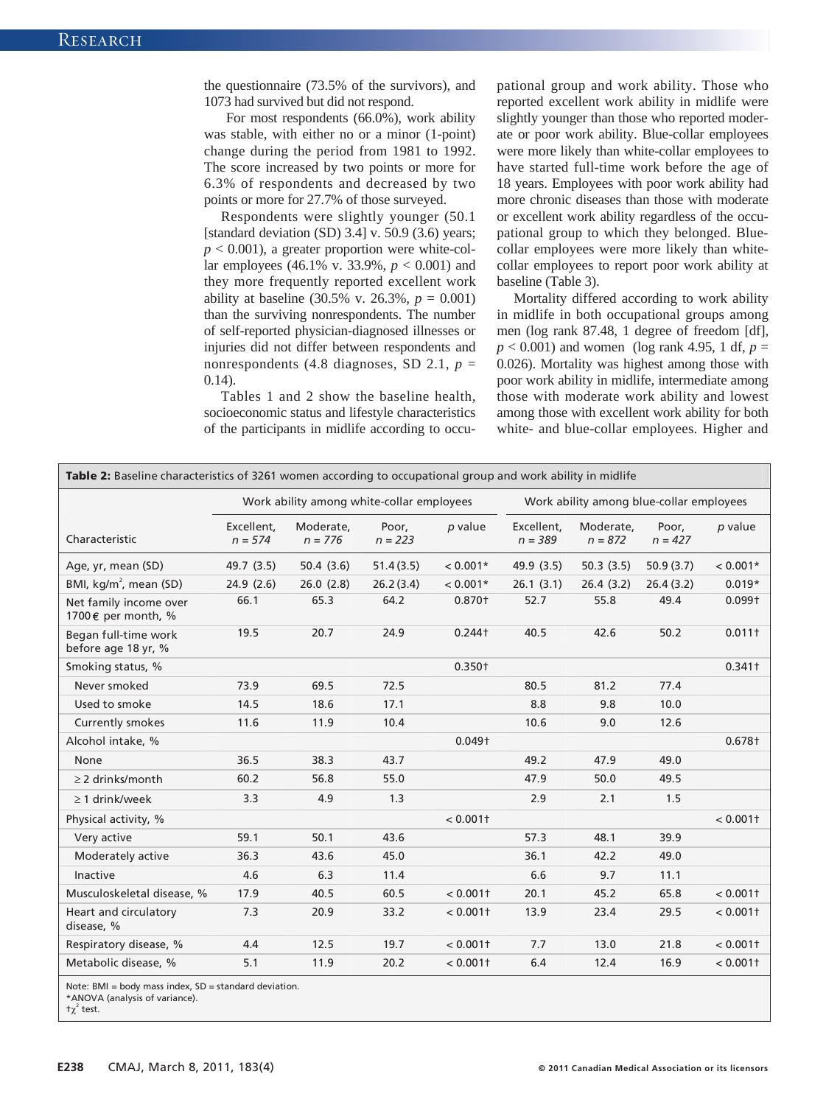the questionnaire (73.5% of the survivors), and 1073 had survived but did not respond.

For most respondents (66.0%), work ability was stable, with either no or a minor (1-point) change during the period from 1981 to 1992. The score increased by two points or more for 6.3% of respondents and decreased by two points or more for 27.7% of those surveyed.

Respondents were slightly younger (50.1 [standard deviation (SD) 3.4] v. 50.9 (3.6) years;  $p < 0.001$ ), a greater proportion were white-collar employees (46.1% v. 33.9%, *p* < 0.001) and they more frequently reported excellent work ability at baseline  $(30.5\% \text{ v. } 26.3\%, p = 0.001)$ than the surviving nonrespondents. The number of self-reported physician -diagnosed illnesses or injuries did not differ between respondents and nonrespondents (4.8 diagnoses, SD 2.1,  $p =$  $(0.14)$ .

Tables 1 and 2 show the baseline health, socioeconomic status and lifestyle characteristics of the participants in midlife according to occupational group and work ability. Those who reported excellent work ability in midlife were slightly younger than those who reported moderate or poor work ability. Blue-collar employees were more likely than white-collar employees to have started full-time work before the age of 18 years. Employees with poor work ability had more chronic diseases than those with moderate or excellent work ability regardless of the occupational group to which they belonged. Bluecollar employees were more likely than whitecollar employees to report poor work ability at baseline (Table 3).

Mortality differed according to work ability in midlife in both occupational groups among men (log rank 87.48, 1 degree of freedom [df],  $p < 0.001$ ) and women (log rank 4.95, 1 df,  $p =$ 0.026). Mortality was highest among those with poor work ability in midlife, intermediate among those with moderate work ability and lowest among those with excellent work ability for both white- and blue-collar employees. Higher and

| Table 2: Baseline characteristics of 3261 women according to occupational group and work ability in midlife |                                           |                        |                    |                                          |                         |                        |                    |                      |
|-------------------------------------------------------------------------------------------------------------|-------------------------------------------|------------------------|--------------------|------------------------------------------|-------------------------|------------------------|--------------------|----------------------|
|                                                                                                             | Work ability among white-collar employees |                        |                    | Work ability among blue-collar employees |                         |                        |                    |                      |
| Characteristic                                                                                              | Excellent,<br>$n = 574$                   | Moderate,<br>$n = 776$ | Poor.<br>$n = 223$ | p value                                  | Excellent.<br>$n = 389$ | Moderate,<br>$n = 872$ | Poor.<br>$n = 427$ | p value              |
| Age, yr, mean (SD)                                                                                          | 49.7 (3.5)                                | 50.4(3.6)              | 51.4(3.5)          | $< 0.001*$                               | 49.9 (3.5)              | 50.3(3.5)              | 50.9(3.7)          | $< 0.001*$           |
| BMI, kg/m <sup>2</sup> , mean (SD)                                                                          | 24.9(2.6)                                 | 26.0(2.8)              | 26.2(3.4)          | $< 0.001*$                               | 26.1(3.1)               | 26.4(3.2)              | 26.4(3.2)          | $0.019*$             |
| Net family income over<br>1700 € per month, %                                                               | 66.1                                      | 65.3                   | 64.2               | 0.870+                                   | 52.7                    | 55.8                   | 49.4               | 0.099 <sup>†</sup>   |
| Began full-time work<br>before age 18 yr, %                                                                 | 19.5                                      | 20.7                   | 24.9               | $0.244 +$                                | 40.5                    | 42.6                   | 50.2               | 0.011 <sup>†</sup>   |
| Smoking status, %                                                                                           |                                           |                        |                    | $0.350 +$                                |                         |                        |                    | $0.341$ <sup>+</sup> |
| Never smoked                                                                                                | 73.9                                      | 69.5                   | 72.5               |                                          | 80.5                    | 81.2                   | 77.4               |                      |
| Used to smoke                                                                                               | 14.5                                      | 18.6                   | 17.1               |                                          | 8.8                     | 9.8                    | 10.0               |                      |
| Currently smokes                                                                                            | 11.6                                      | 11.9                   | 10.4               |                                          | 10.6                    | 9.0                    | 12.6               |                      |
| Alcohol intake, %                                                                                           |                                           |                        |                    | $0.049+$                                 |                         |                        |                    | 0.678+               |
| None                                                                                                        | 36.5                                      | 38.3                   | 43.7               |                                          | 49.2                    | 47.9                   | 49.0               |                      |
| $\geq$ 2 drinks/month                                                                                       | 60.2                                      | 56.8                   | 55.0               |                                          | 47.9                    | 50.0                   | 49.5               |                      |
| $\geq$ 1 drink/week                                                                                         | 3.3                                       | 4.9                    | 1.3                |                                          | 2.9                     | 2.1                    | 1.5                |                      |
| Physical activity, %                                                                                        |                                           |                        |                    | $< 0.001$ †                              |                         |                        |                    | $< 0.001$ †          |
| Very active                                                                                                 | 59.1                                      | 50.1                   | 43.6               |                                          | 57.3                    | 48.1                   | 39.9               |                      |
| Moderately active                                                                                           | 36.3                                      | 43.6                   | 45.0               |                                          | 36.1                    | 42.2                   | 49.0               |                      |
| Inactive                                                                                                    | 4.6                                       | 6.3                    | 11.4               |                                          | 6.6                     | 9.7                    | 11.1               |                      |
| Musculoskeletal disease, %                                                                                  | 17.9                                      | 40.5                   | 60.5               | $< 0.001$ †                              | 20.1                    | 45.2                   | 65.8               | $< 0.001$ †          |
| Heart and circulatory<br>disease, %                                                                         | 7.3                                       | 20.9                   | 33.2               | $< 0.001$ †                              | 13.9                    | 23.4                   | 29.5               | $< 0.001$ †          |
| Respiratory disease, %                                                                                      | 4.4                                       | 12.5                   | 19.7               | $< 0.001$ †                              | 7.7                     | 13.0                   | 21.8               | $< 0.001$ †          |
| Metabolic disease, %                                                                                        | 5.1                                       | 11.9                   | 20.2               | $< 0.001$ †                              | 6.4                     | 12.4                   | 16.9               | $< 0.001$ †          |
|                                                                                                             |                                           |                        |                    |                                          |                         |                        |                    |                      |

Note: BMI = body mass index, SD = standard deviation.

\*ANOVA (analysis of variance).  $\tau$ <sub>χ</sub><sup>2</sup> test.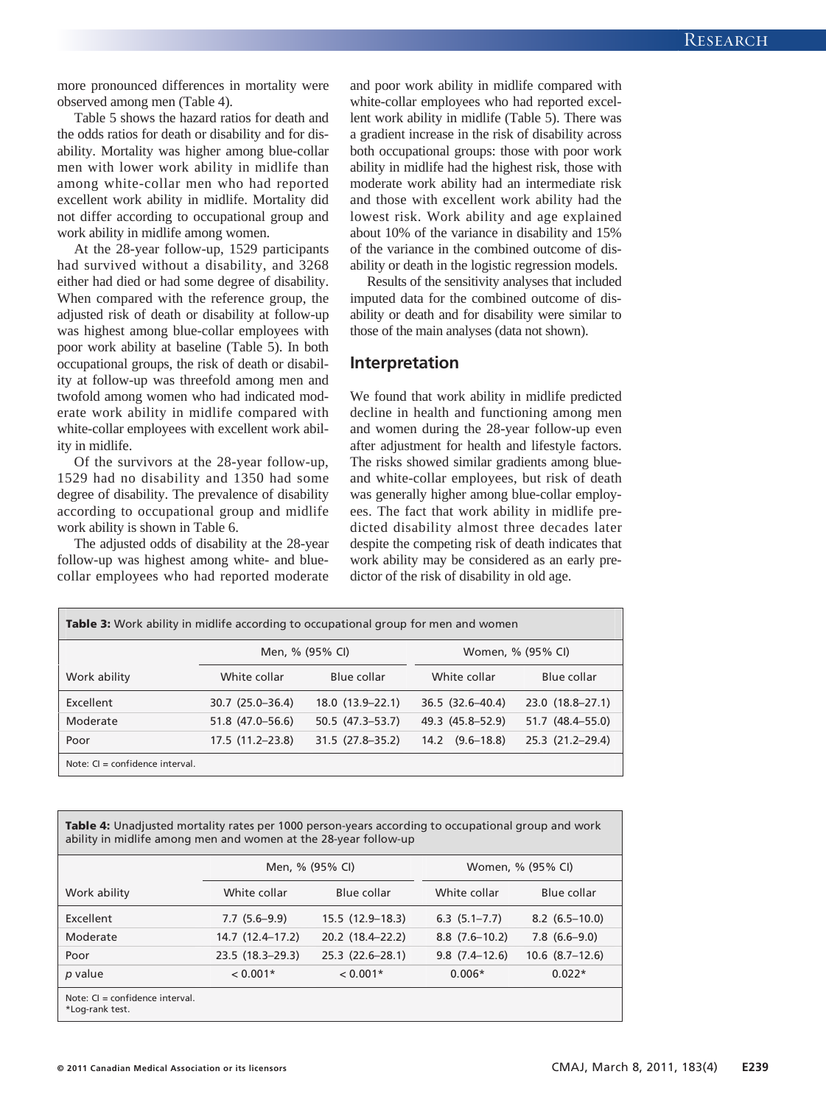more pronounced differences in mortality were observed among men (Table 4).

Table 5 shows the hazard ratios for death and the odds ratios for death or disability and for disability. Mortality was higher among blue-collar men with lower work ability in midlife than among white-collar men who had reported excellent work ability in midlife. Mortality did not differ according to occupational group and work ability in midlife among women.

At the 28-year follow-up, 1529 participants had survived without a disability, and 3268 either had died or had some degree of disability. When compared with the reference group, the adjusted risk of death or disability at follow-up was highest among blue-collar employees with poor work ability at baseline (Table 5). In both occupational groups, the risk of death or disability at follow -up was threefold among men and twofold among women who had indicated moderate work ability in midlife compared with white-collar employees with excellent work ability in midlife.

Of the survivors at the 28-year follow-up, 1529 had no disability and 1350 had some degree of disability. The prevalence of disability according to occupational group and midlife work ability is shown in Table 6.

The adjusted odds of disability at the 28-year follow-up was highest among white- and bluecollar employees who had reported moderate and poor work ability in midlife compared with white-collar employees who had reported excellent work ability in midlife (Table 5). There was a gradient increase in the risk of disability across both occupational groups: those with poor work ability in midlife had the highest risk, those with moderate work ability had an intermediate risk and those with excellent work ability had the lowest risk. Work ability and age explained about 10% of the variance in disability and 15% of the variance in the combined outcome of disability or death in the logistic regression models.

Results of the sensitivity analyses that included imputed data for the combined outcome of disability or death and for disability were similar to those of the main analyses (data not shown).

## **Interpretation**

We found that work ability in midlife predicted decline in health and functioning among men and women during the 28-year follow-up even after adjustment for health and lifestyle factors. The risks showed similar gradients among blueand white-collar employees, but risk of death was generally higher among blue-collar employees. The fact that work ability in midlife predicted disability almost three decades later despite the competing risk of death indicates that work ability may be considered as an early predictor of the risk of disability in old age.

| <b>Table 3:</b> Work ability in midlife according to occupational group for men and women |                   |                     |                  |  |  |  |  |  |
|-------------------------------------------------------------------------------------------|-------------------|---------------------|------------------|--|--|--|--|--|
| Men, % (95% CI)<br>Women, % (95% CI)                                                      |                   |                     |                  |  |  |  |  |  |
| White collar                                                                              | Blue collar       | White collar        | Blue collar      |  |  |  |  |  |
| $30.7(25.0-36.4)$                                                                         | 18.0 (13.9-22.1)  | $36.5(32.6 - 40.4)$ | 23.0 (18.8-27.1) |  |  |  |  |  |
| 51.8 (47.0–56.6)                                                                          | $50.5(47.3-53.7)$ | 49.3 (45.8–52.9)    | 51.7 (48.4-55.0) |  |  |  |  |  |
| $17.5(11.2-23.8)$                                                                         | 31.5 (27.8–35.2)  | $14.2$ $(9.6-18.8)$ | 25.3 (21.2-29.4) |  |  |  |  |  |
|                                                                                           |                   |                     |                  |  |  |  |  |  |

Note: CI = confidence interval.

**Table 4:** Unadjusted mortality rates per 1000 person-years according to occupational group and work ability in midlife among men and women at the 28-year follow-up

|                                                      |                             | Men, % (95% CI)  | Women, % (95% CI)   |                     |  |
|------------------------------------------------------|-----------------------------|------------------|---------------------|---------------------|--|
| Work ability                                         | White collar<br>Blue collar |                  | White collar        | Blue collar         |  |
| Excellent                                            | $7.7(5.6-9.9)$              | 15.5 (12.9–18.3) | $6.3$ $(5.1 - 7.7)$ | $8.2(6.5-10.0)$     |  |
| Moderate                                             | 14.7 (12.4–17.2)            | 20.2 (18.4–22.2) | $8.8$ $(7.6-10.2)$  | $7.8(6.6-9.0)$      |  |
| Poor                                                 | 23.5 (18.3–29.3)            | 25.3 (22.6–28.1) | $9.8(7.4-12.6)$     | $10.6$ $(8.7-12.6)$ |  |
| p value                                              | $< 0.001*$                  | $< 0.001*$       | $0.006*$            | $0.022*$            |  |
| Note: $Cl =$ confidence interval.<br>*Log-rank test. |                             |                  |                     |                     |  |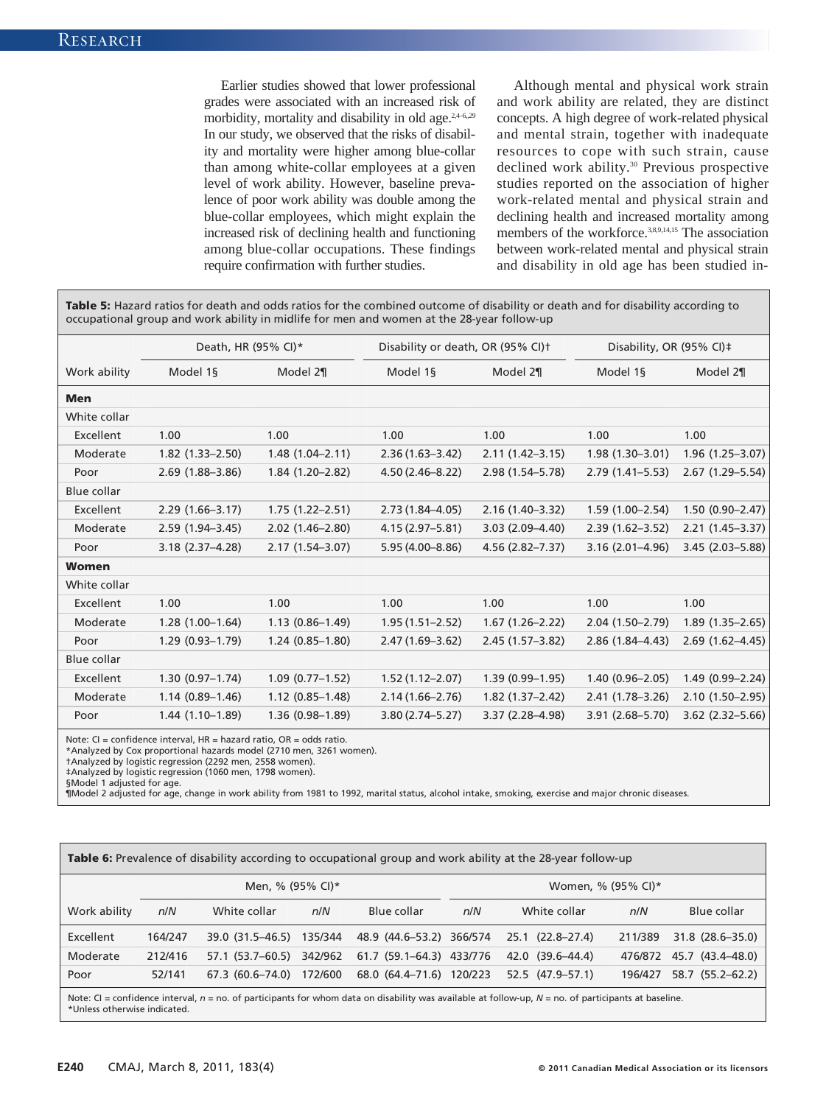Earlier studies showed that lower professional grades were associated with an increased risk of morbidity, mortality and disability in old age. $24-6,29$ In our study, we observed that the risks of disability and mortality were higher among blue -collar than among white-collar employees at a given level of work ability. However, baseline prevalence of poor work ability was double among the blue-collar employees, which might explain the increased risk of declining health and functioning among blue-collar occupations. These findings require confirmation with further studies.

Although mental and physical work strain and work ability are related, they are distinct concepts. A high degree of work-related physical and mental strain, together with inadequate resources to cope with such strain, cause declined work ability.30 Previous prospective studies reported on the association of higher work-related mental and physical strain and declining health and increased mortality among members of the workforce.3,8,9,14,15 The association between work-related mental and physical strain and disability in old age has been studied in-

**Table 5:** Hazard ratios for death and odds ratios for the combined outcome of disability or death and for disability according to occupational group and work ability in midlife for men and women at the 28-year follow-up

|              | Death, HR (95% CI)*    |                     | Disability or death, OR (95% CI)t |                     | Disability, OR (95% CI)‡ |                        |  |
|--------------|------------------------|---------------------|-----------------------------------|---------------------|--------------------------|------------------------|--|
| Work ability | Model 1§               | Model 21            | Model 1§                          | Model 21            | Model 1§                 | Model 21               |  |
| <b>Men</b>   |                        |                     |                                   |                     |                          |                        |  |
| White collar |                        |                     |                                   |                     |                          |                        |  |
| Excellent    | 1.00                   | 1.00                | 1.00                              | 1.00                | 1.00                     | 1.00                   |  |
| Moderate     | $1.82$ $(1.33 - 2.50)$ | $1.48(1.04 - 2.11)$ | $2.36(1.63 - 3.42)$               | $2.11(1.42 - 3.15)$ | $1.98(1.30 - 3.01)$      | $1.96(1.25 - 3.07)$    |  |
| Poor         | $2.69$ $(1.88 - 3.86)$ | $1.84(1.20 - 2.82)$ | $4.50(2.46 - 8.22)$               | 2.98 (1.54-5.78)    | $2.79(1.41 - 5.53)$      | $2.67(1.29 - 5.54)$    |  |
| Blue collar  |                        |                     |                                   |                     |                          |                        |  |
| Excellent    | $2.29(1.66-3.17)$      | $1.75(1.22 - 2.51)$ | $2.73(1.84 - 4.05)$               | $2.16(1.40-3.32)$   | $1.59(1.00 - 2.54)$      | $1.50(0.90 - 2.47)$    |  |
| Moderate     | $2.59(1.94-3.45)$      | $2.02(1.46 - 2.80)$ | 4.15 (2.97 - 5.81)                | $3.03(2.09 - 4.40)$ | $2.39(1.62 - 3.52)$      | $2.21(1.45-3.37)$      |  |
| Poor         | $3.18(2.37 - 4.28)$    | $2.17(1.54 - 3.07)$ | $5.95(4.00 - 8.86)$               | 4.56 (2.82–7.37)    | $3.16(2.01 - 4.96)$      | $3.45(2.03 - 5.88)$    |  |
| Women        |                        |                     |                                   |                     |                          |                        |  |
| White collar |                        |                     |                                   |                     |                          |                        |  |
| Excellent    | 1.00                   | 1.00                | 1.00                              | 1.00                | 1.00                     | 1.00                   |  |
| Moderate     | $1.28(1.00-1.64)$      | $1.13(0.86 - 1.49)$ | $1.95(1.51 - 2.52)$               | $1.67(1.26 - 2.22)$ | $2.04(1.50 - 2.79)$      | $1.89(1.35-2.65)$      |  |
| Poor         | $1.29(0.93 - 1.79)$    | $1.24(0.85 - 1.80)$ | $2.47(1.69 - 3.62)$               | $2.45(1.57-3.82)$   | $2.86(1.84 - 4.43)$      | $2.69(1.62 - 4.45)$    |  |
| Blue collar  |                        |                     |                                   |                     |                          |                        |  |
| Excellent    | $1.30(0.97-1.74)$      | $1.09(0.77-1.52)$   | $1.52(1.12 - 2.07)$               | $1.39(0.99 - 1.95)$ | $1.40(0.96 - 2.05)$      | $1.49(0.99 - 2.24)$    |  |
| Moderate     | $1.14(0.89 - 1.46)$    | $1.12(0.85 - 1.48)$ | $2.14(1.66 - 2.76)$               | $1.82(1.37 - 2.42)$ | $2.41(1.78 - 3.26)$      | $2.10(1.50 - 2.95)$    |  |
| Poor         | $1.44(1.10-1.89)$      | $1.36(0.98 - 1.89)$ | $3.80(2.74 - 5.27)$               | $3.37(2.28 - 4.98)$ | $3.91(2.68 - 5.70)$      | $3.62$ $(2.32 - 5.66)$ |  |

Note: CI = confidence interval, HR = hazard ratio, OR = odds ratio.

\*Analyzed by Cox proportional hazards model (2710 men, 3261 women).

†Analyzed by logistic regression (2292 men, 2558 women). ‡Analyzed by logistic regression (1060 men, 1798 women).

§Model 1 adjusted for age.

¶Model 2 adjusted for age, change in work ability from 1981 to 1992, marital status, alcohol intake, smoking, exercise and major chronic diseases.

| <b>Table 6:</b> Prevalence of disability according to occupational group and work ability at the 28-year follow-up |         |                          |         |                          |                    |                      |         |                        |  |
|--------------------------------------------------------------------------------------------------------------------|---------|--------------------------|---------|--------------------------|--------------------|----------------------|---------|------------------------|--|
| Men, % (95% CI)*                                                                                                   |         |                          |         |                          | Women, % (95% CI)* |                      |         |                        |  |
| Work ability                                                                                                       | n/N     | White collar             | n/N     | Blue collar              | n/N                | White collar         | n/N     | Blue collar            |  |
| Excellent                                                                                                          | 164/247 | $39.0(31.5 - 46.5)$      | 135/344 | 48.9 (44.6–53.2) 366/574 |                    | 25.1 (22.8–27.4)     | 211/389 | $31.8$ $(28.6 - 35.0)$ |  |
| Moderate                                                                                                           | 212/416 | 57.1 (53.7–60.5)         | 342/962 | 61.7 (59.1–64.3) 433/776 |                    | 42.0 (39.6–44.4)     | 476/872 | 45.7 (43.4–48.0)       |  |
| Poor                                                                                                               | 52/141  | 67.3 (60.6-74.0) 172/600 |         | 68.0 (64.4–71.6) 120/223 |                    | $52.5$ $(47.9-57.1)$ | 196/427 | 58.7 (55.2–62.2)       |  |
|                                                                                                                    |         |                          |         |                          |                    |                      |         |                        |  |

Note: CI = confidence interval,  $n =$  no. of participants for whom data on disability was available at follow-up, N = no. of participants at baseline. \*Unless otherwise indicated.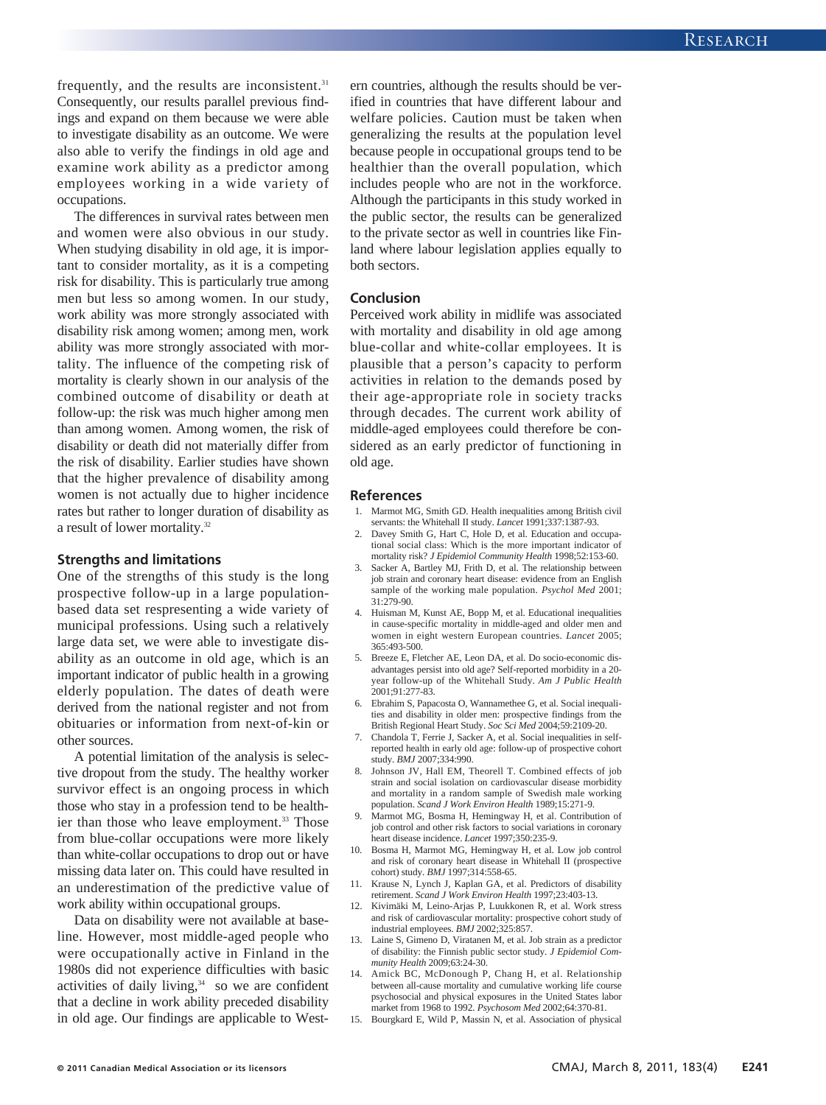frequently, and the results are inconsistent.<sup>31</sup> Consequently, our results parallel previous findings and expand on them because we were able to investigate disability as an outcome. We were also able to verify the findings in old age and examine work ability as a predictor among employ ees working in a wide variety of occupations.

The differences in survival rates between men and women were also obvious in our study. When studying disability in old age, it is important to consider mortality, as it is a competing risk for disability. This is particularly true among men but less so among women. In our study, work ability was more strongly associated with disability risk among women; among men, work ability was more strongly associated with mortality. The influence of the competing risk of mortality is clearly shown in our analysis of the combined outcome of disability or death at follow-up: the risk was much higher among men than among women. Among women, the risk of disability or death did not materially differ from the risk of disability. Earlier studies have shown that the higher prevalence of disability among women is not actually due to higher incidence rates but rather to longer duration of disability as a result of lower mortality.32

### **Strengths and limitations**

One of the strengths of this study is the long prospective follow-up in a large populationbased data set respresenting a wide variety of municipal professions. Using such a relatively large data set, we were able to investigate disability as an outcome in old age, which is an important indicator of public health in a growing elderly population. The dates of death were derived from the national register and not from obituaries or information from next-of-kin or other sources.

A potential limitation of the analysis is selective dropout from the study. The healthy worker survivor effect is an ongoing process in which those who stay in a profession tend to be healthier than those who leave employment.<sup>33</sup> Those from blue-collar occupations were more likely than white-collar occupations to drop out or have missing data later on. This could have resulted in an underestimation of the predictive value of work ability within occupational groups.

Data on disability were not available at baseline. However, most middle -aged people who were occupationally active in Finland in the 1980s did not experience difficulties with basic activities of daily living,<sup>34</sup> so we are confident that a decline in work ability preceded disability in old age. Our findings are applicable to Western countries, although the results should be verified in countries that have different labour and welfare policies. Caution must be taken when generalizing the results at the population level because people in occupational groups tend to be healthier than the overall population, which includes people who are not in the workforce. Although the participants in this study worked in the public sector, the results can be generalized to the private sector as well in countries like Finland where labour legislation applies equally to both sectors.

#### **Conclusion**

Perceived work ability in midlife was associated with mortality and disability in old age among blue-collar and white-collar employees. It is plausible that a person's capacity to perform activities in relation to the demands posed by their age-appropriate role in society tracks through decades. The current work ability of middle-aged employees could therefore be considered as an early predictor of functioning in old age.

#### **References**

- 1. Marmot MG, Smith GD. Health inequalities among British civil servants: the Whitehall II study. *Lancet* 1991;337:1387-93.
- 2. Davey Smith G, Hart C, Hole D, et al. Education and occupational social class: Which is the more important indicator of mortality risk? *J Epidemiol Community Health* 1998;52:153-60.
- 3. Sacker A, Bartley MJ, Frith D, et al. The relationship between job strain and coronary heart disease: evidence from an English sample of the working male population. *Psychol Med* 2001; 31:279-90.
- 4. Huisman M, Kunst AE, Bopp M, et al. Educational inequalities in cause-specific mortality in middle-aged and older men and women in eight western European countries. *Lancet* 2005; 365:493-500.
- 5. Breeze E, Fletcher AE, Leon DA, et al. Do socio-economic disadvantages persist into old age? Self-reported morbidity in a 20 year follow-up of the Whitehall Study. *Am J Public Health* 2001; 91:277-83.
- 6. Ebrahim S, Papacosta O, Wannamethee G, et al. Social inequalities and disability in older men: prospective findings from the British Regional Heart Study. *Soc Sci Med* 2004;59:2109-20.
- 7. Chandola T, Ferrie J, Sacker A, et al. Social inequalities in selfreported health in early old age: follow-up of prospective cohort study. *BMJ* 2007;334:990.
- 8. Johnson JV, Hall EM, Theorell T. Combined effects of job strain and social isolation on cardiovascular disease morbidity and mortality in a random sample of Swedish male working population. *Scand J Work Environ Health* 1989;15:271-9.
- 9. Marmot MG, Bosma H, Hemingway H, et al. Contribution of job control and other risk factors to social variations in coronary heart disease incidence. *Lancet* 1997;350:235-9.
- 10. Bosma H, Marmot MG, Hemingway H, et al. Low job control and risk of coronary heart disease in Whitehall II (prospective cohort) study. *BMJ* 1997;314:558-65.
- 11. Krause N, Lynch J, Kaplan GA, et al. Predictors of disability retirement. *Scand J Work Environ Health* 1997;23:403-13.
- 12. Kivimäki M, Leino-Arjas P, Luukkonen R, et al. Work stress and risk of cardiovascular mortality: prospective cohort study of industrial employees. *BMJ* 2002;325:857.
- 13. Laine S, Gimeno D, Viratanen M, et al. Job strain as a predictor of disability: the Finnish public sector study. *J Epidemiol Community Health* 2009;63:24-30.
- 14. Amick BC, McDonough P, Chang H, et al. Relationship between all-cause mortality and cumulative working life course psychosocial and physical exposures in the United States labor market from 1968 to 1992. *Psychosom Med* 2002;64:370-81.
- 15. Bourgkard E, Wild P, Massin N, et al. Association of physical